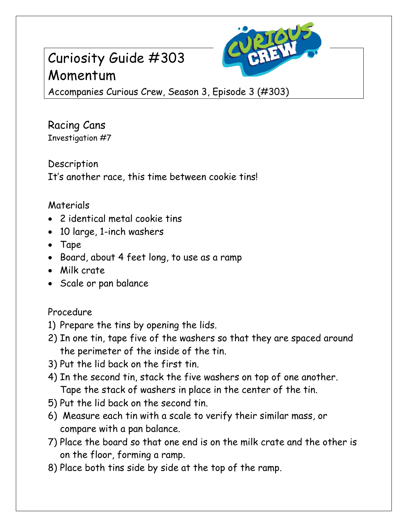# Curiosity Guide #303 Momentum



Accompanies Curious Crew, Season 3, Episode 3 (#303)

Racing Cans Investigation #7

Description It's another race, this time between cookie tins!

## Materials

- 2 identical metal cookie tins
- 10 large, 1-inch washers
- Tape
- Board, about 4 feet long, to use as a ramp
- Milk crate
- Scale or pan balance

## Procedure

- 1) Prepare the tins by opening the lids.
- 2) In one tin, tape five of the washers so that they are spaced around the perimeter of the inside of the tin.
- 3) Put the lid back on the first tin.
- 4) In the second tin, stack the five washers on top of one another. Tape the stack of washers in place in the center of the tin.
- 5) Put the lid back on the second tin.
- 6) Measure each tin with a scale to verify their similar mass, or compare with a pan balance.
- 7) Place the board so that one end is on the milk crate and the other is on the floor, forming a ramp.
- 8) Place both tins side by side at the top of the ramp.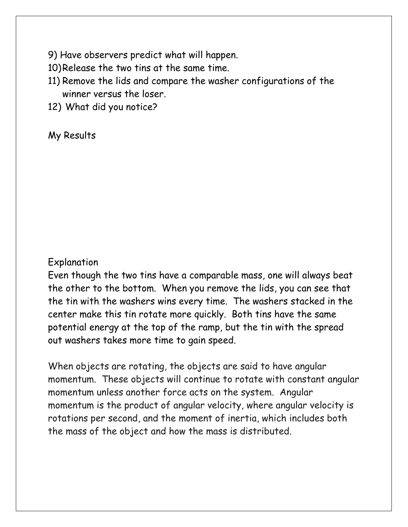- 9) Have observers predict what will happen.
- 10)Release the two tins at the same time.
- 11) Remove the lids and compare the washer configurations of the winner versus the loser.
- 12) What did you notice?

#### My Results

#### Explanation

Even though the two tins have a comparable mass, one will always beat the other to the bottom. When you remove the lids, you can see that the tin with the washers wins every time. The washers stacked in the center make this tin rotate more quickly. Both tins have the same potential energy at the top of the ramp, but the tin with the spread out washers takes more time to gain speed.

When objects are rotating, the objects are said to have angular momentum. These objects will continue to rotate with constant angular momentum unless another force acts on the system. Angular momentum is the product of angular velocity, where angular velocity is rotations per second, and the moment of inertia, which includes both the mass of the object and how the mass is distributed.